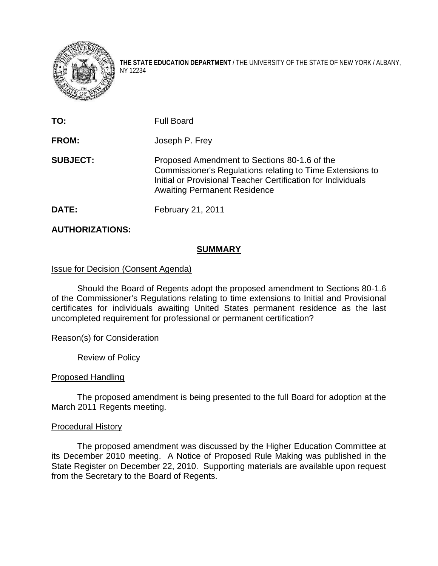

**THE STATE EDUCATION DEPARTMENT** / THE UNIVERSITY OF THE STATE OF NEW YORK / ALBANY, NY 12234

| TO:             | <b>Full Board</b>                                                                                                                                                                                                |
|-----------------|------------------------------------------------------------------------------------------------------------------------------------------------------------------------------------------------------------------|
| <b>FROM:</b>    | Joseph P. Frey                                                                                                                                                                                                   |
| <b>SUBJECT:</b> | Proposed Amendment to Sections 80-1.6 of the<br>Commissioner's Regulations relating to Time Extensions to<br>Initial or Provisional Teacher Certification for Individuals<br><b>Awaiting Permanent Residence</b> |
| <b>DATE:</b>    | February 21, 2011                                                                                                                                                                                                |

# **AUTHORIZATIONS:**

# **SUMMARY**

# Issue for Decision (Consent Agenda)

Should the Board of Regents adopt the proposed amendment to Sections 80-1.6 of the Commissioner's Regulations relating to time extensions to Initial and Provisional certificates for individuals awaiting United States permanent residence as the last uncompleted requirement for professional or permanent certification?

# Reason(s) for Consideration

Review of Policy

# Proposed Handling

 The proposed amendment is being presented to the full Board for adoption at the March 2011 Regents meeting.

# Procedural History

The proposed amendment was discussed by the Higher Education Committee at its December 2010 meeting. A Notice of Proposed Rule Making was published in the State Register on December 22, 2010. Supporting materials are available upon request from the Secretary to the Board of Regents.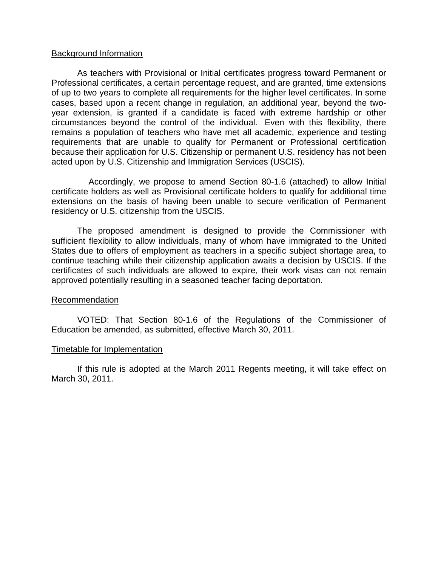#### Background Information

 As teachers with Provisional or Initial certificates progress toward Permanent or Professional certificates, a certain percentage request, and are granted, time extensions of up to two years to complete all requirements for the higher level certificates. In some cases, based upon a recent change in regulation, an additional year, beyond the twoyear extension, is granted if a candidate is faced with extreme hardship or other circumstances beyond the control of the individual. Even with this flexibility, there remains a population of teachers who have met all academic, experience and testing requirements that are unable to qualify for Permanent or Professional certification because their application for U.S. Citizenship or permanent U.S. residency has not been acted upon by U.S. Citizenship and Immigration Services (USCIS).

 Accordingly, we propose to amend Section 80-1.6 (attached) to allow Initial certificate holders as well as Provisional certificate holders to qualify for additional time extensions on the basis of having been unable to secure verification of Permanent residency or U.S. citizenship from the USCIS.

The proposed amendment is designed to provide the Commissioner with sufficient flexibility to allow individuals, many of whom have immigrated to the United States due to offers of employment as teachers in a specific subject shortage area, to continue teaching while their citizenship application awaits a decision by USCIS. If the certificates of such individuals are allowed to expire, their work visas can not remain approved potentially resulting in a seasoned teacher facing deportation.

#### Recommendation

VOTED: That Section 80-1.6 of the Regulations of the Commissioner of Education be amended, as submitted, effective March 30, 2011.

#### Timetable for Implementation

 If this rule is adopted at the March 2011 Regents meeting, it will take effect on March 30, 2011.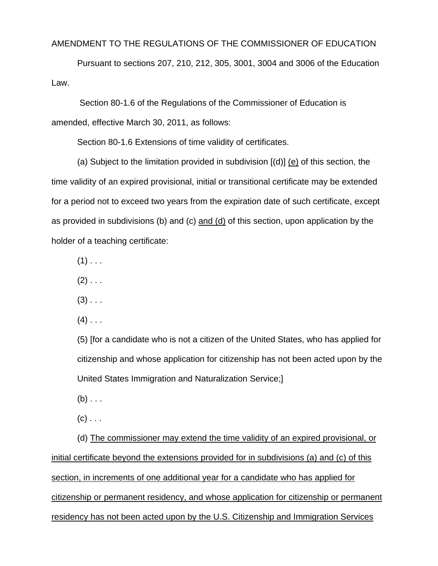#### AMENDMENT TO THE REGULATIONS OF THE COMMISSIONER OF EDUCATION

Pursuant to sections 207, 210, 212, 305, 3001, 3004 and 3006 of the Education Law.

 Section 80-1.6 of the Regulations of the Commissioner of Education is amended, effective March 30, 2011, as follows:

Section 80-1.6 Extensions of time validity of certificates.

 (a) Subject to the limitation provided in subdivision [(d)] (e) of this section, the time validity of an expired provisional, initial or transitional certificate may be extended for a period not to exceed two years from the expiration date of such certificate, except as provided in subdivisions (b) and (c) and (d) of this section, upon application by the holder of a teaching certificate:

- $(1)$  . . .
- $(2)$  . . .
- $(3)$  . . .
- $(4)$  . . .

(5) [for a candidate who is not a citizen of the United States, who has applied for citizenship and whose application for citizenship has not been acted upon by the United States Immigration and Naturalization Service;]

- $(b) \ldots$
- $(c)$  . . .

 (d) The commissioner may extend the time validity of an expired provisional, or initial certificate beyond the extensions provided for in subdivisions (a) and (c) of this section, in increments of one additional year for a candidate who has applied for citizenship or permanent residency, and whose application for citizenship or permanent residency has not been acted upon by the U.S. Citizenship and Immigration Services